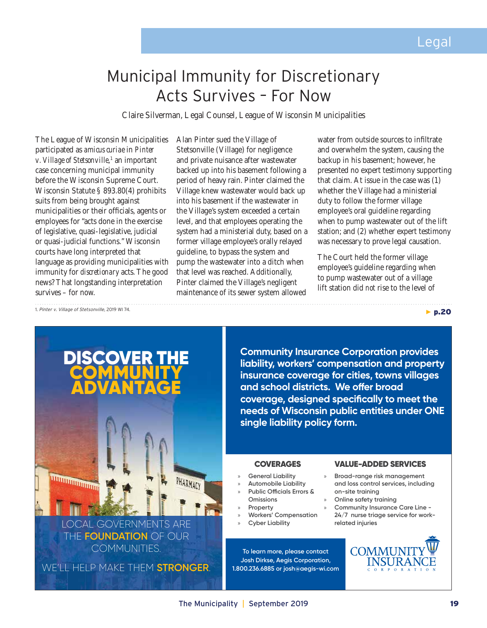▶ p.20

# Municipal Immunity for Discretionary Acts Survives – For Now

Claire Silverman, Legal Counsel, League of Wisconsin Municipalities

The League of Wisconsin Municipalities participated as *amicus curiae* in *Pinter v. Village of Stetsonville*,<sup>1</sup> an important case concerning municipal immunity before the Wisconsin Supreme Court. Wisconsin Statute § 893.80(4) prohibits suits from being brought against municipalities or their officials, agents or employees for "acts done in the exercise of legislative, quasi-legislative, judicial or quasi-judicial functions." Wisconsin courts have long interpreted that language as providing municipalities with immunity for *discretionary* acts. The good news? That longstanding interpretation survives – for now.

Alan Pinter sued the Village of Stetsonville (Village) for negligence and private nuisance after wastewater backed up into his basement following a period of heavy rain. Pinter claimed the Village knew wastewater would back up into his basement if the wastewater in the Village's system exceeded a certain level, and that employees operating the system had a ministerial duty, based on a former village employee's orally relayed guideline, to bypass the system and pump the wastewater into a ditch when that level was reached. Additionally, Pinter claimed the Village's negligent maintenance of its sewer system allowed

water from outside sources to infiltrate and overwhelm the system, causing the backup in his basement; however, he presented no expert testimony supporting that claim. At issue in the case was (1) whether the Village had a ministerial duty to follow the former village employee's oral guideline regarding when to pump wastewater out of the lift station; and (2) whether expert testimony was necessary to prove legal causation.

The Court held the former village employee's guideline regarding when to pump wastewater out of a village lift station did *not* rise to the level of

1. *Pinter v. Village of Stetsonville*, 2019 WI 74.



LOCAL GOVERNMENTS ARE THE **FOUNDATION** OF OUR COMMUNITIES.

WE'LL HELP MAKE THEM **STRONGER**.

**Community Insurance Corporation provides liability, workers' compensation and property insurance coverage for cities, towns villages and school districts. We offer broad coverage, designed specifically to meet the needs of Wisconsin public entities under ONE single liability policy form.**

- » **General Liability**
- » **Automobile Liability**
- » **Public Officials Errors &**
- **Omissions**
- » **Property**
- » **Workers' Compensation**
- » **Cyber Liability**

**To learn more, please contact Josh Dirkse, Aegis Corporation, 1.800.236.6885 or josh@aegis-wi.com**

### COVERAGES VALUE-ADDED SERVICES

- » **Broad-range risk management and loss control services, including on-site training**
- » **Online safety training**
- » **Community Insurance Care Line 24/7 nurse triage service for workrelated injuries**